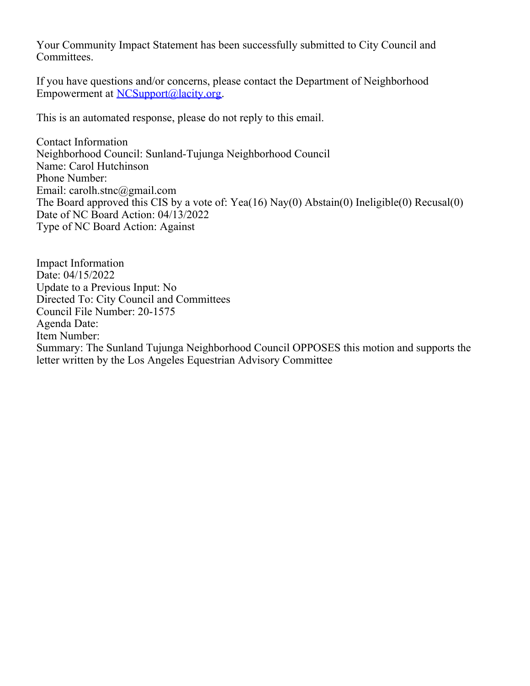Your Community Impact Statement has been successfully submitted to City Council and Committees.

If you have questions and/or concerns, please contact the Department of Neighborhood Empowerment at [NCSupport@lacity.org](mailto:NCSupport@lacity.org).

This is an automated response, please do not reply to this email.

Contact Information Neighborhood Council: Sunland-Tujunga Neighborhood Council Name: Carol Hutchinson Phone Number: Email: carolh.stnc@gmail.com The Board approved this CIS by a vote of: Yea(16) Nay(0) Abstain(0) Ineligible(0) Recusal(0) Date of NC Board Action: 04/13/2022 Type of NC Board Action: Against

Impact Information Date: 04/15/2022 Update to a Previous Input: No Directed To: City Council and Committees Council File Number: 20-1575 Agenda Date: Item Number: Summary: The Sunland Tujunga Neighborhood Council OPPOSES this motion and supports the letter written by the Los Angeles Equestrian Advisory Committee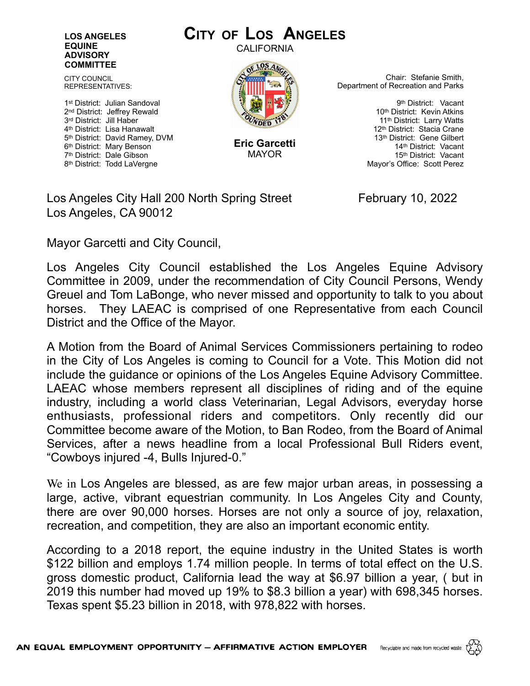## **LOS ANGELES EQUINE ADVISORY COMMITTEE**

CITY COUNCIL REPRESENTATIVES:

1st District: Julian Sandoval 2nd District: Jeffrey Rewald 3rd District: Jill Haber 4th District: Lisa Hanawalt 5th District: David Ramey, DVM 6th District: Mary Benson 7th District: Dale Gibson 8th District: Todd LaVergne

## **CITY OF LOS ANGELES**

CALIFORNIA



**Eric Garcetti** MAYOR

Chair: Stefanie Smith, Department of Recreation and Parks

> 9th District: Vacant 10<sup>th</sup> District: Kevin Atkins 11<sup>th</sup> District: Larry Watts 12th District: Stacia Crane 13th District: Gene Gilbert 14th District: Vacant 15th District: Vacant Mayor's Office: Scott Perez

Los Angeles City Hall 200 North Spring Street February 10, 2022 Los Angeles, CA 90012

Mayor Garcetti and City Council,

Los Angeles City Council established the Los Angeles Equine Advisory Committee in 2009, under the recommendation of City Council Persons, Wendy Greuel and Tom LaBonge, who never missed and opportunity to talk to you about horses. They LAEAC is comprised of one Representative from each Council District and the Office of the Mayor.

A Motion from the Board of Animal Services Commissioners pertaining to rodeo in the City of Los Angeles is coming to Council for a Vote. This Motion did not include the guidance or opinions of the Los Angeles Equine Advisory Committee. LAEAC whose members represent all disciplines of riding and of the equine industry, including a world class Veterinarian, Legal Advisors, everyday horse enthusiasts, professional riders and competitors. Only recently did our Committee become aware of the Motion, to Ban Rodeo, from the Board of Animal Services, after a news headline from a local Professional Bull Riders event, "Cowboys injured -4, Bulls Injured-0."

We in Los Angeles are blessed, as are few major urban areas, in possessing a large, active, vibrant equestrian community. In Los Angeles City and County, there are over 90,000 horses. Horses are not only a source of joy, relaxation, recreation, and competition, they are also an important economic entity.

According to a 2018 report, the equine industry in the United States is worth \$122 billion and employs 1.74 million people. In terms of total effect on the U.S. gross domestic product, California lead the way at \$6.97 billion a year, ( but in 2019 this number had moved up 19% to \$8.3 billion a year) with 698,345 horses. Texas spent \$5.23 billion in 2018, with 978,822 with horses.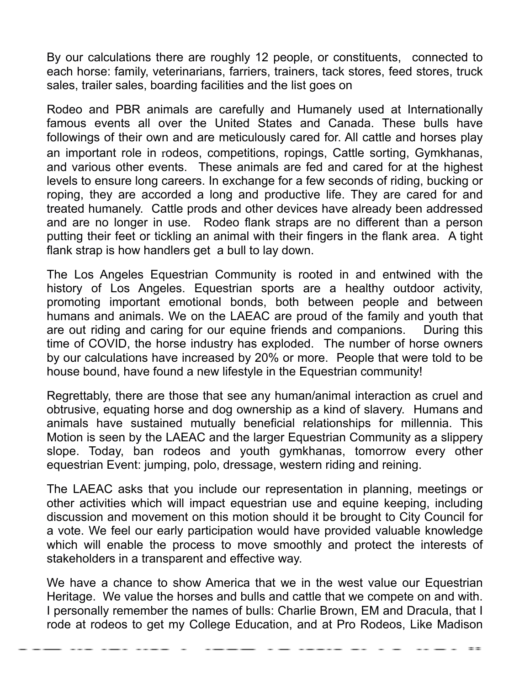By our calculations there are roughly 12 people, or constituents, connected to each horse: family, veterinarians, farriers, trainers, tack stores, feed stores, truck sales, trailer sales, boarding facilities and the list goes on

Rodeo and PBR animals are carefully and Humanely used at Internationally famous events all over the United States and Canada. These bulls have followings of their own and are meticulously cared for. All cattle and horses play an important role in rodeos, competitions, ropings, Cattle sorting, Gymkhanas, and various other events. These animals are fed and cared for at the highest levels to ensure long careers. In exchange for a few seconds of riding, bucking or roping, they are accorded a long and productive life. They are cared for and treated humanely. Cattle prods and other devices have already been addressed and are no longer in use. Rodeo flank straps are no different than a person putting their feet or tickling an animal with their fingers in the flank area. A tight flank strap is how handlers get a bull to lay down.

The Los Angeles Equestrian Community is rooted in and entwined with the history of Los Angeles. Equestrian sports are a healthy outdoor activity, promoting important emotional bonds, both between people and between humans and animals. We on the LAEAC are proud of the family and youth that are out riding and caring for our equine friends and companions. During this time of COVID, the horse industry has exploded. The number of horse owners by our calculations have increased by 20% or more. People that were told to be house bound, have found a new lifestyle in the Equestrian community!

Regrettably, there are those that see any human/animal interaction as cruel and obtrusive, equating horse and dog ownership as a kind of slavery. Humans and animals have sustained mutually beneficial relationships for millennia. This Motion is seen by the LAEAC and the larger Equestrian Community as a slippery slope. Today, ban rodeos and youth gymkhanas, tomorrow every other equestrian Event: jumping, polo, dressage, western riding and reining.

The LAEAC asks that you include our representation in planning, meetings or other activities which will impact equestrian use and equine keeping, including discussion and movement on this motion should it be brought to City Council for a vote. We feel our early participation would have provided valuable knowledge which will enable the process to move smoothly and protect the interests of stakeholders in a transparent and effective way.

We have a chance to show America that we in the west value our Equestrian Heritage. We value the horses and bulls and cattle that we compete on and with. I personally remember the names of bulls: Charlie Brown, EM and Dracula, that I rode at rodeos to get my College Education, and at Pro Rodeos, Like Madison